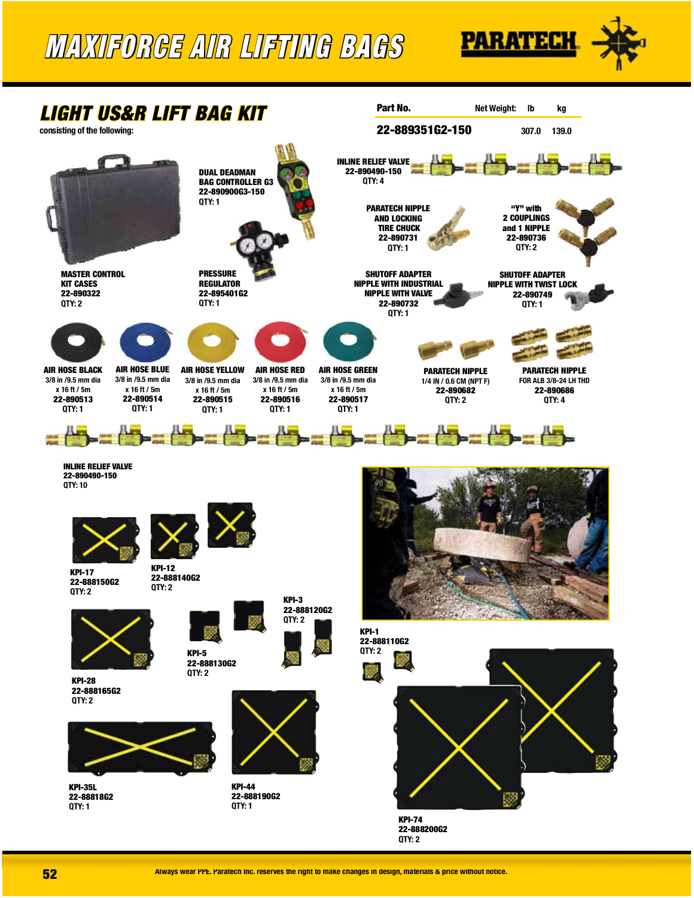## MAXIFORCE AIR LIFTING BAGS





**52** Always wear PPE. Paratech Inc. reserves the right to make changes in design, materials & price without notice.